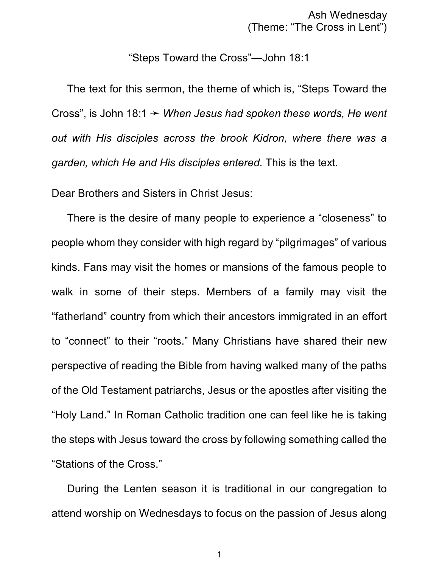Ash Wednesday (Theme: "The Cross in Lent")

"Steps Toward the Cross"—John 18:1

The text for this sermon, the theme of which is, "Steps Toward the Cross", is John 18:1 ý *When Jesus had spoken these words, He went out with His disciples across the brook Kidron, where there was a garden, which He and His disciples entered.* This is the text.

Dear Brothers and Sisters in Christ Jesus:

There is the desire of many people to experience a "closeness" to people whom they consider with high regard by "pilgrimages" of various kinds. Fans may visit the homes or mansions of the famous people to walk in some of their steps. Members of a family may visit the "fatherland" country from which their ancestors immigrated in an effort to "connect" to their "roots." Many Christians have shared their new perspective of reading the Bible from having walked many of the paths of the Old Testament patriarchs, Jesus or the apostles after visiting the "Holy Land." In Roman Catholic tradition one can feel like he is taking the steps with Jesus toward the cross by following something called the "Stations of the Cross."

During the Lenten season it is traditional in our congregation to attend worship on Wednesdays to focus on the passion of Jesus along

1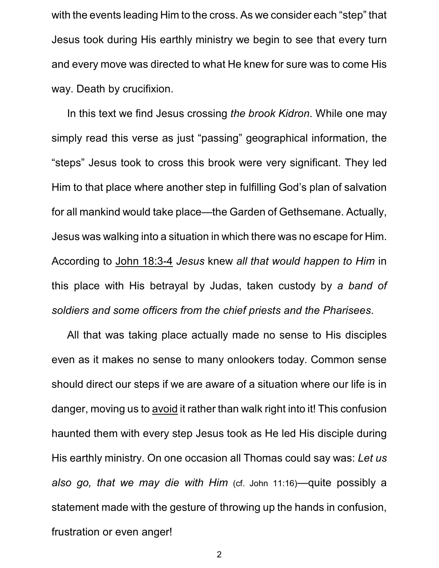with the events leading Him to the cross. As we consider each "step" that Jesus took during His earthly ministry we begin to see that every turn and every move was directed to what He knew for sure was to come His way. Death by crucifixion.

In this text we find Jesus crossing *the brook Kidron*. While one may simply read this verse as just "passing" geographical information, the "steps" Jesus took to cross this brook were very significant. They led Him to that place where another step in fulfilling God's plan of salvation for all mankind would take place—the Garden of Gethsemane. Actually, Jesus was walking into a situation in which there was no escape for Him. According to John 18:3-4 *Jesus* knew *all that would happen to Him* in this place with His betrayal by Judas, taken custody by *a band of soldiers and some officers from the chief priests and the Pharisees*.

All that was taking place actually made no sense to His disciples even as it makes no sense to many onlookers today. Common sense should direct our steps if we are aware of a situation where our life is in danger, moving us to avoid it rather than walk right into it! This confusion haunted them with every step Jesus took as He led His disciple during His earthly ministry. On one occasion all Thomas could say was: *Let us also go, that we may die with Him* (cf. John 11:16)—quite possibly a statement made with the gesture of throwing up the hands in confusion, frustration or even anger!

2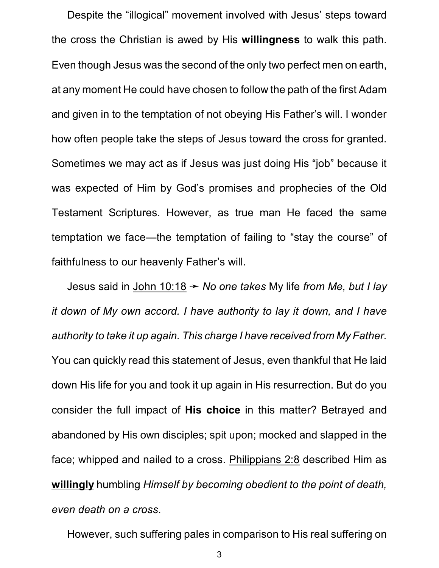Despite the "illogical" movement involved with Jesus' steps toward the cross the Christian is awed by His **willingness** to walk this path. Even though Jesus was the second of the only two perfect men on earth, at any moment He could have chosen to follow the path of the first Adam and given in to the temptation of not obeying His Father's will. I wonder how often people take the steps of Jesus toward the cross for granted. Sometimes we may act as if Jesus was just doing His "job" because it was expected of Him by God's promises and prophecies of the Old Testament Scriptures. However, as true man He faced the same temptation we face—the temptation of failing to "stay the course" of faithfulness to our heavenly Father's will.

Jesus said in John 10:18 → *No one takes* My life *from Me, but I lay it down of My own accord. I have authority to lay it down, and I have authority to take it up again. This charge I have received from My Father.* You can quickly read this statement of Jesus, even thankful that He laid down His life for you and took it up again in His resurrection. But do you consider the full impact of **His choice** in this matter? Betrayed and abandoned by His own disciples; spit upon; mocked and slapped in the face; whipped and nailed to a cross. Philippians 2:8 described Him as **willingly** humbling *Himself by becoming obedient to the point of death, even death on a cross*.

However, such suffering pales in comparison to His real suffering on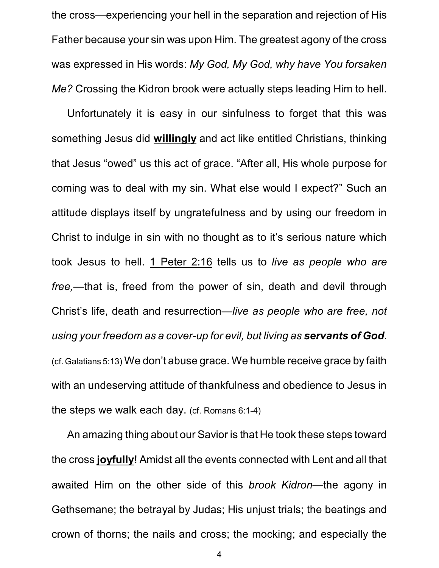the cross—experiencing your hell in the separation and rejection of His Father because your sin was upon Him. The greatest agony of the cross was expressed in His words: *My God, My God, why have You forsaken Me?* Crossing the Kidron brook were actually steps leading Him to hell.

Unfortunately it is easy in our sinfulness to forget that this was something Jesus did **willingly** and act like entitled Christians, thinking that Jesus "owed" us this act of grace. "After all, His whole purpose for coming was to deal with my sin. What else would I expect?" Such an attitude displays itself by ungratefulness and by using our freedom in Christ to indulge in sin with no thought as to it's serious nature which took Jesus to hell. 1 Peter 2:16 tells us to *live as people who are free,*—that is, freed from the power of sin, death and devil through Christ's life, death and resurrection—*live as people who are free, not using your freedom as a cover-up for evil, but living as servants of God*. (cf. Galatians 5:13) We don't abuse grace. We humble receive grace by faith with an undeserving attitude of thankfulness and obedience to Jesus in the steps we walk each day. (cf. Romans 6:1-4)

An amazing thing about our Savior is that He took these steps toward the cross **joyfully!** Amidst all the events connected with Lent and all that awaited Him on the other side of this *brook Kidron*—the agony in Gethsemane; the betrayal by Judas; His unjust trials; the beatings and crown of thorns; the nails and cross; the mocking; and especially the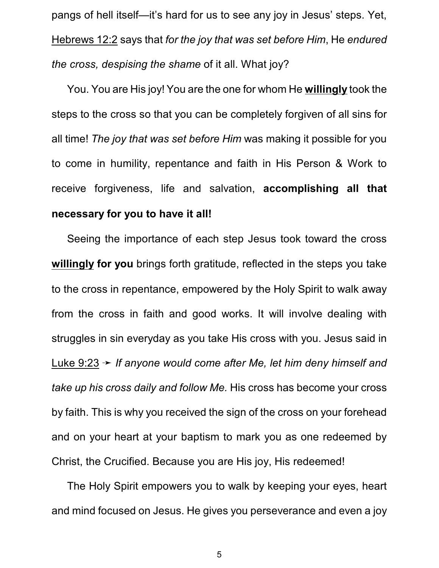pangs of hell itself—it's hard for us to see any joy in Jesus' steps. Yet, Hebrews 12:2 says that *for the joy that was set before Him*, He *endured the cross, despising the shame* of it all. What joy?

You. You are His joy! You are the one for whom He **willingly** took the steps to the cross so that you can be completely forgiven of all sins for all time! *The joy that was set before Him* was making it possible for you to come in humility, repentance and faith in His Person & Work to receive forgiveness, life and salvation, **accomplishing all that necessary for you to have it all!**

Seeing the importance of each step Jesus took toward the cross **willingly for you** brings forth gratitude, reflected in the steps you take to the cross in repentance, empowered by the Holy Spirit to walk away from the cross in faith and good works. It will involve dealing with struggles in sin everyday as you take His cross with you. Jesus said in Luke 9:23 → *If anyone would come after Me, let him deny himself and take up his cross daily and follow Me.* His cross has become your cross by faith. This is why you received the sign of the cross on your forehead and on your heart at your baptism to mark you as one redeemed by Christ, the Crucified. Because you are His joy, His redeemed!

The Holy Spirit empowers you to walk by keeping your eyes, heart and mind focused on Jesus. He gives you perseverance and even a joy

5